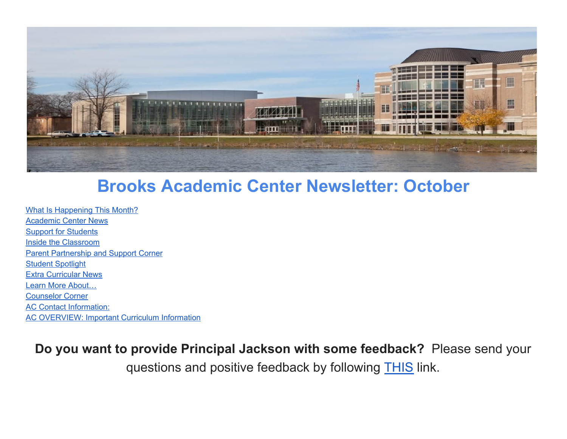

# **Brooks Academic Center Newsletter: October**

What Is Happening This Month? [Academic](#page-2-0) Center News Support for [Students](#page-3-0) Inside the [Classroom](#page-3-1) Parent Partnership and Support Corner Student Spotlight Extra [Curricular](#page-7-0) News Learn More [About…](#page-8-0) Counselor Corner AC Contact Information: AC [OVERVIEW:](#page-9-0) Important Curriculum Information

**Do you want to provide Principal Jackson with some feedback?** Please send your questions and positive feedback by following **THIS** link.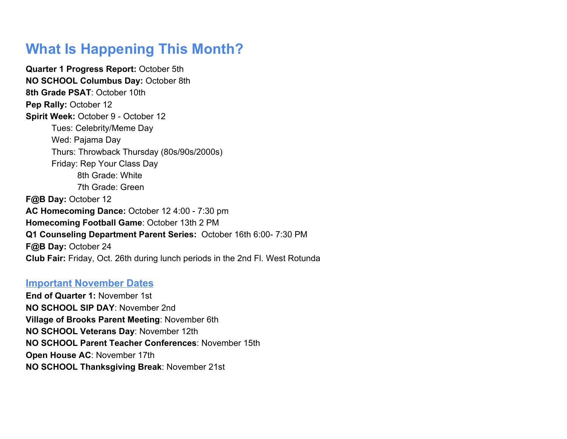## **What Is Happening This Month?**

**Quarter 1 Progress Report:** October 5th **NO SCHOOL Columbus Day:** October 8th **8th Grade PSAT**: October 10th **Pep Rally: October 12 Spirit Week:** October 9 - October 12 Tues: Celebrity/Meme Day Wed: Pajama Day Thurs: Throwback Thursday (80s/90s/2000s) Friday: Rep Your Class Day 8th Grade: White 7th Grade: Green **F@B Day:** October 12 **AC Homecoming Dance:** October 12 4:00 - 7:30 pm **Homecoming Football Game**: October 13th 2 PM **Q1 Counseling Department Parent Series:** October 16th 6:00- 7:30 PM **F@B Day:** October 24 **Club Fair:** Friday, Oct. 26th during lunch periods in the 2nd Fl. West Rotunda

### **Important November Dates**

**End of Quarter 1:** November 1st **NO SCHOOL SIP DAY**: November 2nd **Village of Brooks Parent Meeting**: November 6th **NO SCHOOL Veterans Day**: November 12th **NO SCHOOL Parent Teacher Conferences**: November 15th **Open House AC**: November 17th **NO SCHOOL Thanksgiving Break**: November 21st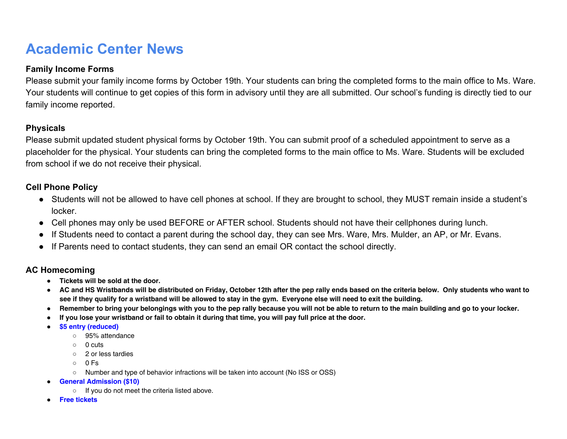## <span id="page-2-0"></span>**Academic Center News**

### **Family Income Forms**

Please submit your family income forms by October 19th. Your students can bring the completed forms to the main office to Ms. Ware. Your students will continue to get copies of this form in advisory until they are all submitted. Our school's funding is directly tied to our family income reported.

### **Physicals**

Please submit updated student physical forms by October 19th. You can submit proof of a scheduled appointment to serve as a placeholder for the physical. Your students can bring the completed forms to the main office to Ms. Ware. Students will be excluded from school if we do not receive their physical.

#### **Cell Phone Policy**

- Students will not be allowed to have cell phones at school. If they are brought to school, they MUST remain inside a student's locker.
- Cell phones may only be used BEFORE or AFTER school. Students should not have their cellphones during lunch.
- If Students need to contact a parent during the school day, they can see Mrs. Ware, Mrs. Mulder, an AP, or Mr. Evans.
- If Parents need to contact students, they can send an email OR contact the school directly.

#### **AC Homecoming**

- **Tickets will be sold at the door.**
- AC and HS Wristbands will be distributed on Friday, October 12th after the pep rally ends based on the criteria below. Only students who want to see if they qualify for a wristband will be allowed to stay in the gym. Everyone else will need to exit the building.
- Remember to bring your belongings with you to the pep rally because you will not be able to return to the main building and go to your locker.
- If you lose your wristband or fail to obtain it during that time, you will pay full price at the door.
- **\$5 entry (reduced)**
	- 95% attendance
	- 0 cuts
	- 2 or less tardies
	- 0 Fs
	- Number and type of behavior infractions will be taken into account (No ISS or OSS)
- **General Admission (\$10)**
	- If you do not meet the criteria listed above.
- **Free tickets**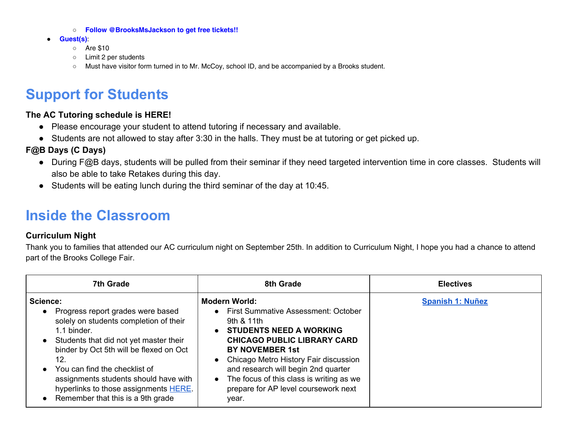- **Follow @BrooksMsJackson to get free tickets!!**
- **Guest(s)**:
	- Are \$10
	- Limit 2 per students
	- Must have visitor form turned in to Mr. McCoy, school ID, and be accompanied by a Brooks student.

## <span id="page-3-0"></span>**Support for Students**

#### **The AC Tutoring schedule is HERE!**

- Please encourage your student to attend tutoring if necessary and available.
- Students are not allowed to stay after 3:30 in the halls. They must be at tutoring or get picked up.

### **F@B Days (C Days)**

- During F@B days, students will be pulled from their seminar if they need targeted intervention time in core classes. Students will also be able to take Retakes during this day.
- Students will be eating lunch during the third seminar of the day at 10:45.

## <span id="page-3-1"></span>**Inside the Classroom**

### **Curriculum Night**

Thank you to families that attended our AC curriculum night on September 25th. In addition to Curriculum Night, I hope you had a chance to attend part of the Brooks College Fair.

| <b>7th Grade</b>                                                                                                                                                                                                                                                                                                                                                     | 8th Grade                                                                                                                                                                                                                                                                                                                                                                                | <b>Electives</b>        |
|----------------------------------------------------------------------------------------------------------------------------------------------------------------------------------------------------------------------------------------------------------------------------------------------------------------------------------------------------------------------|------------------------------------------------------------------------------------------------------------------------------------------------------------------------------------------------------------------------------------------------------------------------------------------------------------------------------------------------------------------------------------------|-------------------------|
| Science:<br>Progress report grades were based<br>solely on students completion of their<br>1.1 binder.<br>Students that did not yet master their<br>binder by Oct 5th will be flexed on Oct<br>12.<br>You can find the checklist of<br>assignments students should have with<br>hyperlinks to those assignments HERE.<br>$\bullet$ Remember that this is a 9th grade | <b>Modern World:</b><br>• First Summative Assessment: October<br>9th $8$ 11th<br><b>STUDENTS NEED A WORKING</b><br>$\bullet$<br><b>CHICAGO PUBLIC LIBRARY CARD</b><br><b>BY NOVEMBER 1st</b><br>Chicago Metro History Fair discussion<br>$\bullet$<br>and research will begin 2nd quarter<br>• The focus of this class is writing as we<br>prepare for AP level coursework next<br>year. | <b>Spanish 1: Nuñez</b> |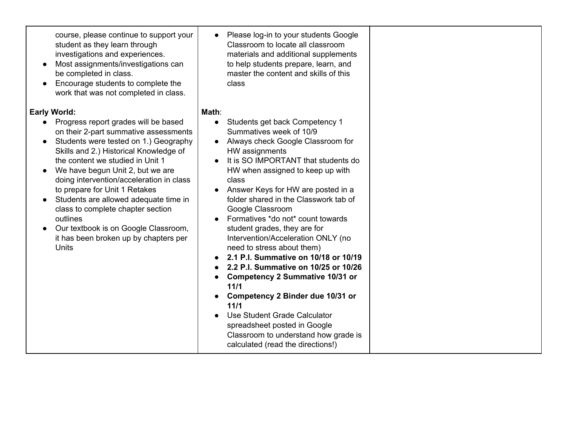course, please continue to support your student as they learn through investigations and experiences.

- Most assignments/investigations can be completed in class.
- Encourage students to complete the work that was not completed in class.

#### **Early World:**

- Progress report grades will be based on their 2-part summative assessments
- Students were tested on 1.) Geography Skills and 2.) Historical Knowledge of the content we studied in Unit 1
- We have begun Unit 2, but we are doing intervention/acceleration in class to prepare for Unit 1 Retakes
- Students are allowed adequate time in class to complete chapter section outlines
- Our textbook is on Google Classroom, it has been broken up by chapters per **Units**

● Please log-in to your students Google Classroom to locate all classroom materials and additional supplements to help students prepare, learn, and master the content and skills of this class

#### **Math**:

- Students get back Competency 1 Summatives week of 10/9
- Always check Google Classroom for HW assignments
- It is SO IMPORTANT that students do HW when assigned to keep up with class
- Answer Keys for HW are posted in a folder shared in the Classwork tab of Google Classroom
- Formatives \*do not\* count towards student grades, they are for Intervention/Acceleration ONLY (no need to stress about them)
- **● 2.1 P.I. Summative on 10/18 or 10/19**
- **● 2.2 P.I. Summative on 10/25 or 10/26**
- **● Competency 2 Summative 10/31 or 11/1**
- **● Competency 2 Binder due 10/31 or 11/1**
- Use Student Grade Calculator spreadsheet posted in Google Classroom to understand how grade is calculated (read the directions!)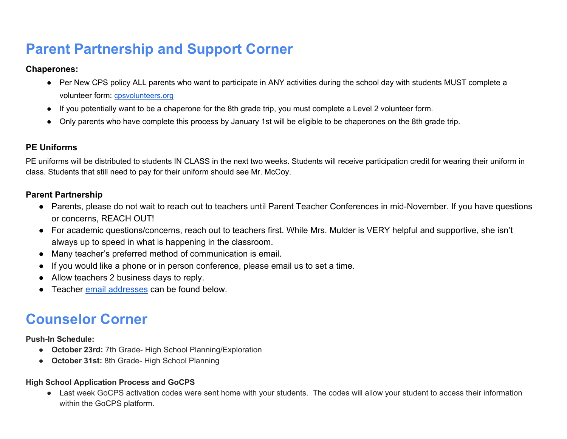## **Parent Partnership and Support Corner**

#### **Chaperones:**

- Per New CPS policy ALL parents who want to participate in ANY activities during the school day with students MUST complete a volunteer form: [cpsvolunteers.org](http://cpsvolunteers.org/)
- If you potentially want to be a chaperone for the 8th grade trip, you must complete a Level 2 volunteer form.
- Only parents who have complete this process by January 1st will be eligible to be chaperones on the 8th grade trip.

### **PE Uniforms**

PE uniforms will be distributed to students IN CLASS in the next two weeks. Students will receive participation credit for wearing their uniform in class. Students that still need to pay for their uniform should see Mr. McCoy.

### **Parent Partnership**

- Parents, please do not wait to reach out to teachers until Parent Teacher Conferences in mid-November. If you have questions or concerns, REACH OUT!
- For academic questions/concerns, reach out to teachers first. While Mrs. Mulder is VERY helpful and supportive, she isn't always up to speed in what is happening in the classroom.
- Many teacher's preferred method of communication is email.
- If you would like a phone or in person conference, please email us to set a time.
- Allow teachers 2 business days to reply.
- Teacher [email addresses](#page-8-1) can be found below.

## **Counselor Corner**

**Push-In Schedule:**

- **October 23rd:** 7th Grade- High School Planning/Exploration
- **October 31st:** 8th Grade- High School Planning

### **High School Application Process and GoCPS**

● Last week GoCPS activation codes were sent home with your students. The codes will allow your student to access their information within the GoCPS platform.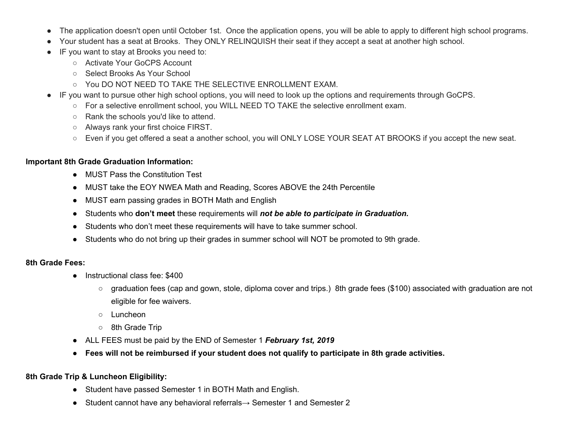- The application doesn't open until October 1st. Once the application opens, you will be able to apply to different high school programs.
- Your student has a seat at Brooks. They ONLY RELINQUISH their seat if they accept a seat at another high school.
- IF you want to stay at Brooks you need to:
	- Activate Your GoCPS Account
	- Select Brooks As Your School
	- YOU DO NOT NEED TO TAKE THE SELECTIVE ENROLLMENT EXAM.
- IF you want to pursue other high school options, you will need to look up the options and requirements through GoCPS.
	- For a selective enrollment school, you WILL NEED TO TAKE the selective enrollment exam.
	- Rank the schools you'd like to attend.
	- Always rank your first choice FIRST.
	- Even if you get offered a seat a another school, you will ONLY LOSE YOUR SEAT AT BROOKS if you accept the new seat.

#### **Important 8th Grade Graduation Information:**

- MUST Pass the Constitution Test
- MUST take the EOY NWEA Math and Reading, Scores ABOVE the 24th Percentile
- MUST earn passing grades in BOTH Math and English
- Students who **don't meet** these requirements will *not be able to participate in Graduation.*
- Students who don't meet these requirements will have to take summer school.
- Students who do not bring up their grades in summer school will NOT be promoted to 9th grade.

#### **8th Grade Fees:**

- Instructional class fee: \$400
	- graduation fees (cap and gown, stole, diploma cover and trips.) 8th grade fees (\$100) associated with graduation are not eligible for fee waivers.
	- Luncheon
	- 8th Grade Trip
- ALL FEES must be paid by the END of Semester 1 *February 1st, 2019*
- Fees will not be reimbursed if your student does not qualify to participate in 8th grade activities.

#### **8th Grade Trip & Luncheon Eligibility:**

- Student have passed Semester 1 in BOTH Math and English.
- Student cannot have any behavioral referrals→ Semester 1 and Semester 2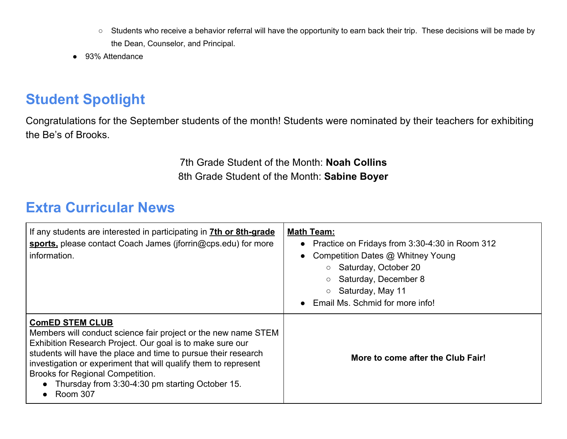- Students who receive a behavior referral will have the opportunity to earn back their trip. These decisions will be made by the Dean, Counselor, and Principal.
- 93% Attendance

## **Student Spotlight**

Congratulations for the September students of the month! Students were nominated by their teachers for exhibiting the Be's of Brooks.

> 7th Grade Student of the Month: **Noah Collins** 8th Grade Student of the Month: **Sabine Boyer**

## <span id="page-7-0"></span>**Extra Curricular News**

| If any students are interested in participating in <b>7th or 8th-grade</b><br>sports, please contact Coach James (jforrin@cps.edu) for more<br>information.                                                                                                                                                                                                                                     | <b>Math Team:</b><br>• Practice on Fridays from 3:30-4:30 in Room 312<br>Competition Dates @ Whitney Young<br>Saturday, October 20<br>Saturday, December 8<br>Saturday, May 11<br>Email Ms. Schmid for more info! |
|-------------------------------------------------------------------------------------------------------------------------------------------------------------------------------------------------------------------------------------------------------------------------------------------------------------------------------------------------------------------------------------------------|-------------------------------------------------------------------------------------------------------------------------------------------------------------------------------------------------------------------|
| <b>ComED STEM CLUB</b><br>Members will conduct science fair project or the new name STEM<br>Exhibition Research Project. Our goal is to make sure our<br>students will have the place and time to pursue their research<br>investigation or experiment that will qualify them to represent<br>Brooks for Regional Competition.<br>• Thursday from 3:30-4:30 pm starting October 15.<br>Room 307 | More to come after the Club Fair!                                                                                                                                                                                 |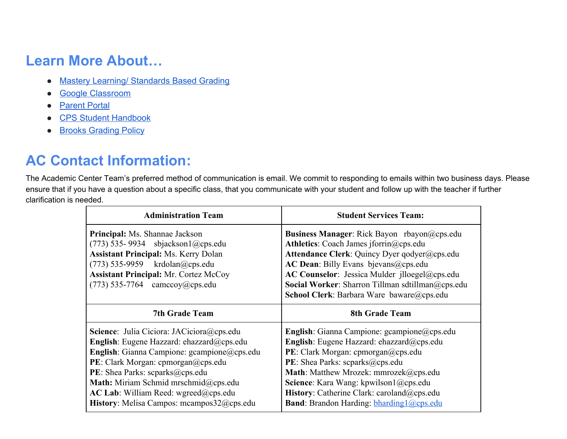## <span id="page-8-0"></span>**Learn More About…**

- [Mastery Learning/ Standards Based Grading](http://www.education.com/reference/article/mastery-learning/)
- [Google Classroom](https://www.youtube.com/watch?v=rFMmvNZsbr0)
- [Parent Portal](http://cps.edu/Pages/Parentresources.aspx)
- [CPS Student Handbook](http://cps.edu/Pages/StudentCodeofConduct.aspx)
- [Brooks Grading Policy](https://docs.google.com/document/d/1wu1pYJws4WKLGEZhaHpnY-81GV8C5tww9Dd73RYGsns/edit)

## <span id="page-8-1"></span>**AC Contact Information:**

The Academic Center Team's preferred method of communication is email. We commit to responding to emails within two business days. Please ensure that if you have a question about a specific class, that you communicate with your student and follow up with the teacher if further clarification is needed.

| <b>Administration Team</b>                                                                                                                                                                                                                                                                                                                                                | <b>Student Services Team:</b>                                                                                                                                                                                                                                                                                                                                                                |
|---------------------------------------------------------------------------------------------------------------------------------------------------------------------------------------------------------------------------------------------------------------------------------------------------------------------------------------------------------------------------|----------------------------------------------------------------------------------------------------------------------------------------------------------------------------------------------------------------------------------------------------------------------------------------------------------------------------------------------------------------------------------------------|
| Principal: Ms. Shannae Jackson<br>$(773)$ 535-9934 sbjackson1@cps.edu<br><b>Assistant Principal: Ms. Kerry Dolan</b><br>$(773)$ 535-9959 krdolan@cps.edu<br><b>Assistant Principal: Mr. Cortez McCoy</b><br>$(773)$ 535-7764 camccoy@cps.edu                                                                                                                              | <b>Business Manager:</b> Rick Bayon rbayon $\omega$ cps.edu<br>Athletics: Coach James jforrin@cps.edu<br>Attendance Clerk: Quincy Dyer qodyer@cps.edu<br>AC Dean: Billy Evans bjevans@cps.edu<br>AC Counselor: Jessica Mulder jlloegel@cps.edu<br>Social Worker: Sharron Tillman sdtillman@cps.edu<br>School Clerk: Barbara Ware baware@cps.edu                                              |
| <b>7th Grade Team</b>                                                                                                                                                                                                                                                                                                                                                     | <b>8th Grade Team</b>                                                                                                                                                                                                                                                                                                                                                                        |
| <b>Science</b> : Julia Ciciora: JACiciora@cps.edu<br>English: Eugene Hazzard: ehazzard@cps.edu<br><b>English</b> : Gianna Campione: $g$ campione $\omega$ cps.edu<br>PE: Clark Morgan: cpmorgan@cps.edu<br>PE: Shea Parks: scparks@cps.edu<br>Math: Miriam Schmid mrschmid@cps.edu<br>$AC$ Lab: William Reed: wgreed@cps.edu<br>History: Melisa Campos: mcampos32@cps.edu | <b>English</b> : Gianna Campione: $g$ campione $\omega$ cps.edu<br>English: Eugene Hazzard: ehazzard@cps.edu<br>PE: Clark Morgan: cpmorgan@cps.edu<br><b>PE</b> : Shea Parks: scparks $@$ cps.edu<br>Math: Matthew Mrozek: mmrozek@cps.edu<br>Science: Kara Wang: kpwilson1@cps.edu<br>History: Catherine Clark: caroland@cps.edu<br><b>Band:</b> Brandon Harding: <b>bharding</b> 1@cps.edu |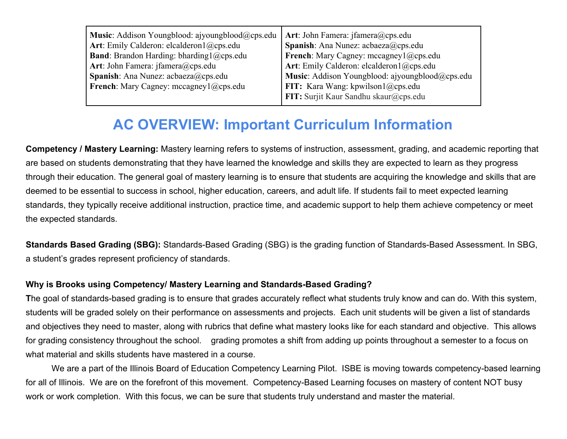| Music: Addison Youngblood: ajyoungblood@cps.edu  | Art: John Famera: jfamera@cps.edu               |
|--------------------------------------------------|-------------------------------------------------|
| Art: Emily Calderon: elcalderon1@cps.edu         | <b>Spanish</b> : Ana Nunez: $acbaeza@cps.edu$   |
| <b>Band</b> : Brandon Harding: bharding1@cps.edu | French: Mary Cagney: mccagney1@cps.edu          |
| Art: John Famera: jfamera@cps.edu                | Art: Emily Calderon: elcalderon1@cps.edu        |
| <b>Spanish:</b> Ana Nunez: $acbaeza@cps.edu$     | Music: Addison Youngblood: ajyoungblood@cps.edu |
| <b>French</b> : Mary Cagney: mccagney1@cps.edu   | FIT: Kara Wang: kpwilson1@cps.edu               |
|                                                  | FIT: Surjit Kaur Sandhu skaur@cps.edu           |
|                                                  |                                                 |

## **AC OVERVIEW: Important Curriculum Information**

<span id="page-9-0"></span>**Competency / Mastery Learning:** Mastery learning refers to systems of instruction, assessment, grading, and academic reporting that are based on students demonstrating that they have learned the knowledge and skills they are expected to learn as they progress through their education. The general goal of mastery learning is to ensure that students are acquiring the knowledge and skills that are deemed to be essential to success in school, higher education, careers, and adult life. If students fail to meet expected learning standards, they typically receive additional instruction, practice time, and academic support to help them achieve competency or meet the expected standards.

**Standards Based Grading (SBG):** Standards-Based Grading (SBG) is the grading function of Standards-Based Assessment. In SBG, a student's grades represent proficiency of standards.

### **Why is Brooks using Competency/ Mastery Learning and Standards-Based Grading?**

**T**he goal of standards-based grading is to ensure that grades accurately reflect what students truly know and can do. With this system, students will be graded solely on their performance on assessments and projects. Each unit students will be given a list of standards and objectives they need to master, along with rubrics that define what mastery looks like for each standard and objective. This allows for grading consistency throughout the school. grading promotes a shift from adding up points throughout a semester to a focus on what material and skills students have mastered in a course.

We are a part of the Illinois Board of Education Competency Learning Pilot. ISBE is moving towards competency-based learning for all of Illinois. We are on the forefront of this movement. Competency-Based Learning focuses on mastery of content NOT busy work or work completion. With this focus, we can be sure that students truly understand and master the material.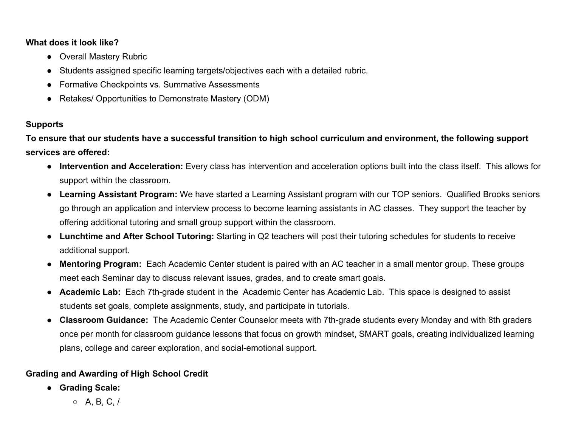#### **What does it look like?**

- Overall Mastery Rubric
- Students assigned specific learning targets/objectives each with a detailed rubric.
- Formative Checkpoints vs. Summative Assessments
- Retakes/ Opportunities to Demonstrate Mastery (ODM)

### **Supports**

**To ensure that our students have a successful transition to high school curriculum and environment, the following support services are offered:**

- **● Intervention and Acceleration:** Every class has intervention and acceleration options built into the class itself. This allows for support within the classroom.
- **● Learning Assistant Program:** We have started a Learning Assistant program with our TOP seniors. Qualified Brooks seniors go through an application and interview process to become learning assistants in AC classes. They support the teacher by offering additional tutoring and small group support within the classroom.
- **● Lunchtime and After School Tutoring:** Starting in Q2 teachers will post their tutoring schedules for students to receive additional support.
- **● Mentoring Program:** Each Academic Center student is paired with an AC teacher in a small mentor group. These groups meet each Seminar day to discuss relevant issues, grades, and to create smart goals.
- **● Academic Lab:** Each 7th-grade student in the Academic Center has Academic Lab. This space is designed to assist students set goals, complete assignments, study, and participate in tutorials.
- **● Classroom Guidance:** The Academic Center Counselor meets with 7th-grade students every Monday and with 8th graders once per month for classroom guidance lessons that focus on growth mindset, SMART goals, creating individualized learning plans, college and career exploration, and social-emotional support.

### **Grading and Awarding of High School Credit**

- **● Grading Scale:**
	- $\circ$  A, B, C, /